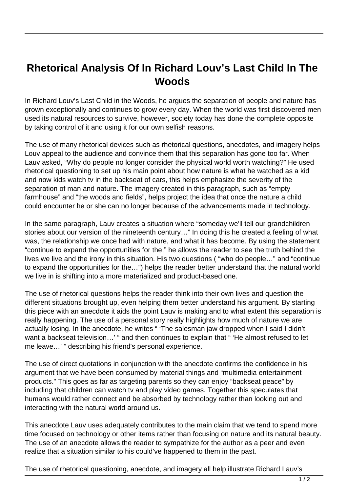## **Rhetorical Analysis Of In Richard Louv's Last Child In The Woods**

In Richard Louv's Last Child in the Woods, he argues the separation of people and nature has grown exceptionally and continues to grow every day. When the world was first discovered men used its natural resources to survive, however, society today has done the complete opposite by taking control of it and using it for our own selfish reasons.

The use of many rhetorical devices such as rhetorical questions, anecdotes, and imagery helps Louv appeal to the audience and convince them that this separation has gone too far. When Lauv asked, "Why do people no longer consider the physical world worth watching?" He used rhetorical questioning to set up his main point about how nature is what he watched as a kid and now kids watch tv in the backseat of cars, this helps emphasize the severity of the separation of man and nature. The imagery created in this paragraph, such as "empty farmhouse" and "the woods and fields", helps project the idea that once the nature a child could encounter he or she can no longer because of the advancements made in technology.

In the same paragraph, Lauv creates a situation where "someday we'll tell our grandchildren stories about our version of the nineteenth century…" In doing this he created a feeling of what was, the relationship we once had with nature, and what it has become. By using the statement "continue to expand the opportunities for the," he allows the reader to see the truth behind the lives we live and the irony in this situation. His two questions ( "who do people…" and "continue to expand the opportunities for the…") helps the reader better understand that the natural world we live in is shifting into a more materialized and product-based one.

The use of rhetorical questions helps the reader think into their own lives and question the different situations brought up, even helping them better understand his argument. By starting this piece with an anecdote it aids the point Lauv is making and to what extent this separation is really happening. The use of a personal story really highlights how much of nature we are actually losing. In the anecdote, he writes " 'The salesman jaw dropped when I said I didn't want a backseat television...' " and then continues to explain that " 'He almost refused to let me leave…' " describing his friend's personal experience.

The use of direct quotations in conjunction with the anecdote confirms the confidence in his argument that we have been consumed by material things and "multimedia entertainment products." This goes as far as targeting parents so they can enjoy "backseat peace" by including that children can watch tv and play video games. Together this speculates that humans would rather connect and be absorbed by technology rather than looking out and interacting with the natural world around us.

This anecdote Lauv uses adequately contributes to the main claim that we tend to spend more time focused on technology or other items rather than focusing on nature and its natural beauty. The use of an anecdote allows the reader to sympathize for the author as a peer and even realize that a situation similar to his could've happened to them in the past.

The use of rhetorical questioning, anecdote, and imagery all help illustrate Richard Lauv's